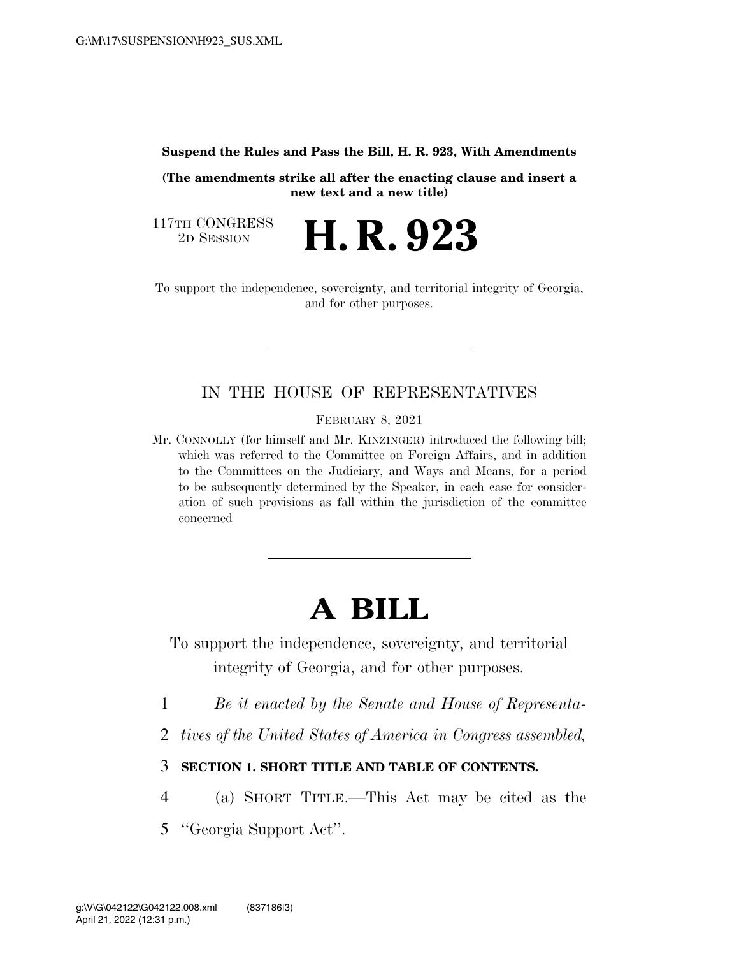#### **Suspend the Rules and Pass the Bill, H. R. 923, With Amendments**

**(The amendments strike all after the enacting clause and insert a new text and a new title)** 

117TH CONGRESS<br>2D SESSION

2D SESSION **H. R. 923** 

To support the independence, sovereignty, and territorial integrity of Georgia, and for other purposes.

## IN THE HOUSE OF REPRESENTATIVES

FEBRUARY 8, 2021

Mr. CONNOLLY (for himself and Mr. KINZINGER) introduced the following bill; which was referred to the Committee on Foreign Affairs, and in addition to the Committees on the Judiciary, and Ways and Means, for a period to be subsequently determined by the Speaker, in each case for consideration of such provisions as fall within the jurisdiction of the committee concerned

# **A BILL**

To support the independence, sovereignty, and territorial integrity of Georgia, and for other purposes.

- 1 *Be it enacted by the Senate and House of Representa-*
- 2 *tives of the United States of America in Congress assembled,*
- 3 **SECTION 1. SHORT TITLE AND TABLE OF CONTENTS.**
- 4 (a) SHORT TITLE.—This Act may be cited as the
- 5 ''Georgia Support Act''.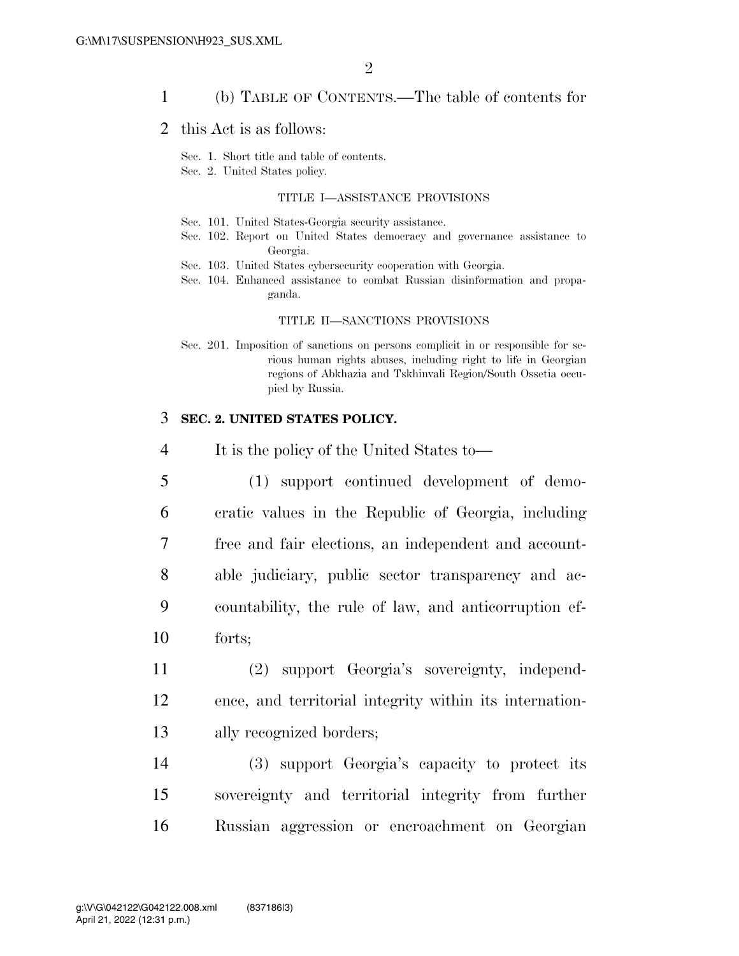### 1 (b) TABLE OF CONTENTS.—The table of contents for

### 2 this Act is as follows:

Sec. 1. Short title and table of contents.

Sec. 2. United States policy.

#### TITLE I—ASSISTANCE PROVISIONS

- Sec. 101. United States-Georgia security assistance.
- Sec. 102. Report on United States democracy and governance assistance to Georgia.
- Sec. 103. United States cybersecurity cooperation with Georgia.
- Sec. 104. Enhanced assistance to combat Russian disinformation and propaganda.

#### TITLE II—SANCTIONS PROVISIONS

Sec. 201. Imposition of sanctions on persons complicit in or responsible for serious human rights abuses, including right to life in Georgian regions of Abkhazia and Tskhinvali Region/South Ossetia occupied by Russia.

#### 3 **SEC. 2. UNITED STATES POLICY.**

- 4 It is the policy of the United States to—
- 5 (1) support continued development of demo-6 cratic values in the Republic of Georgia, including 7 free and fair elections, an independent and account-8 able judiciary, public sector transparency and ac-9 countability, the rule of law, and anticorruption ef-10 forts;
- 11 (2) support Georgia's sovereignty, independ-12 ence, and territorial integrity within its internation-13 ally recognized borders;
- 14 (3) support Georgia's capacity to protect its 15 sovereignty and territorial integrity from further 16 Russian aggression or encroachment on Georgian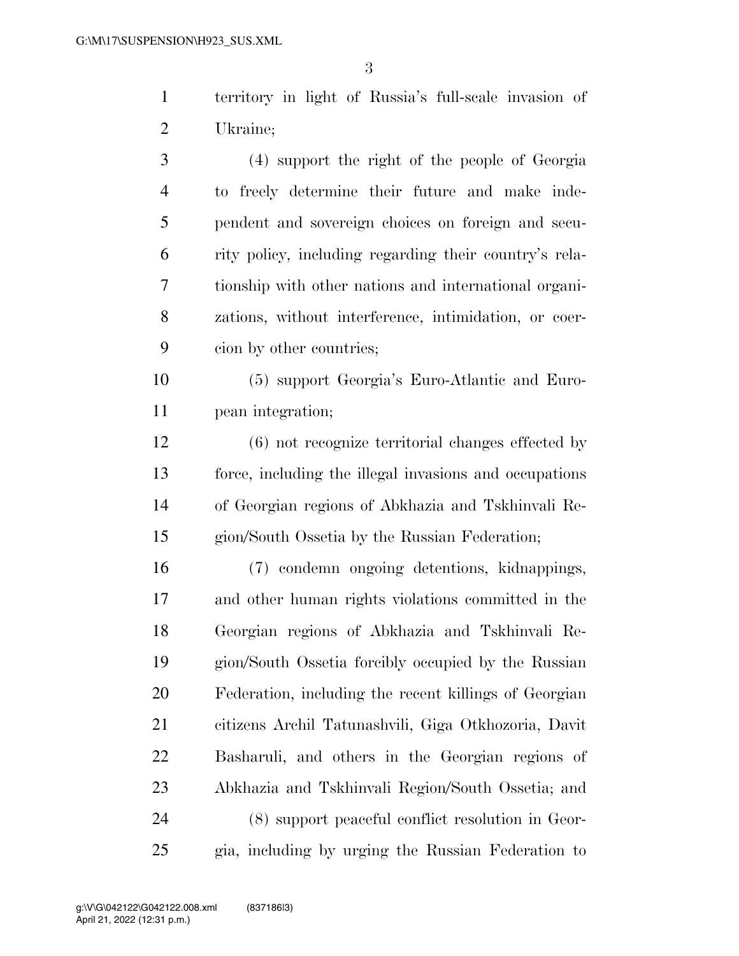territory in light of Russia's full-scale invasion of Ukraine;

 (4) support the right of the people of Georgia to freely determine their future and make inde- pendent and sovereign choices on foreign and secu- rity policy, including regarding their country's rela- tionship with other nations and international organi- zations, without interference, intimidation, or coer-cion by other countries;

 (5) support Georgia's Euro-Atlantic and Euro-pean integration;

 (6) not recognize territorial changes effected by force, including the illegal invasions and occupations of Georgian regions of Abkhazia and Tskhinvali Re-gion/South Ossetia by the Russian Federation;

 (7) condemn ongoing detentions, kidnappings, and other human rights violations committed in the Georgian regions of Abkhazia and Tskhinvali Re- gion/South Ossetia forcibly occupied by the Russian Federation, including the recent killings of Georgian citizens Archil Tatunashvili, Giga Otkhozoria, Davit Basharuli, and others in the Georgian regions of Abkhazia and Tskhinvali Region/South Ossetia; and (8) support peaceful conflict resolution in Geor-gia, including by urging the Russian Federation to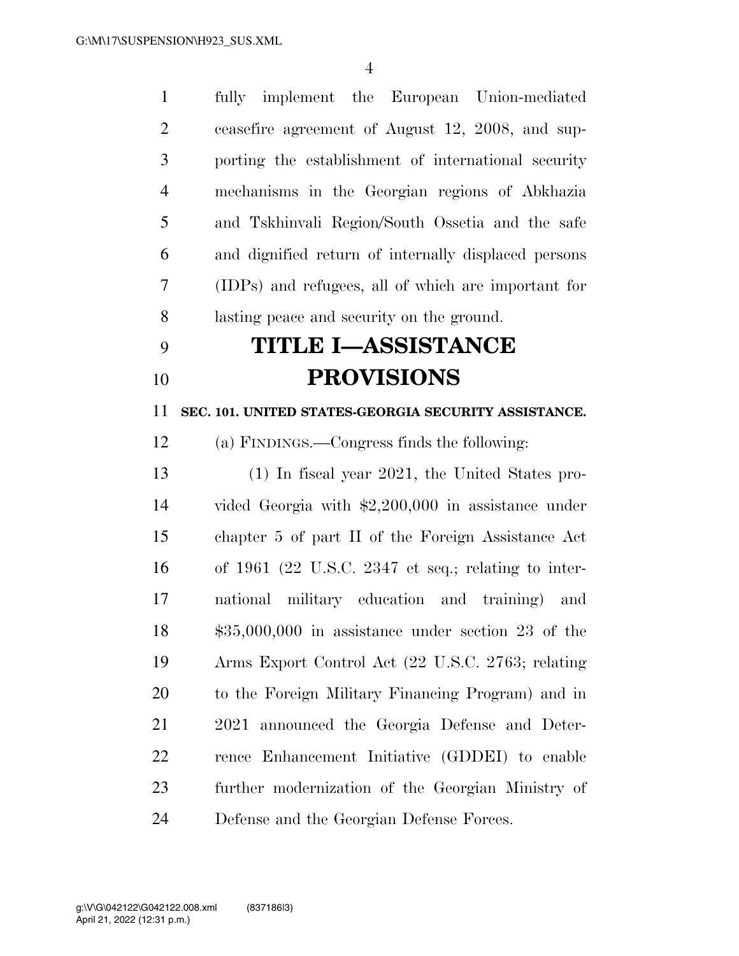fully implement the European Union-mediated ceasefire agreement of August 12, 2008, and sup- porting the establishment of international security mechanisms in the Georgian regions of Abkhazia and Tskhinvali Region/South Ossetia and the safe and dignified return of internally displaced persons (IDPs) and refugees, all of which are important for lasting peace and security on the ground.

# **TITLE I—ASSISTANCE PROVISIONS**

**SEC. 101. UNITED STATES-GEORGIA SECURITY ASSISTANCE.** 

(a) FINDINGS.—Congress finds the following:

 (1) In fiscal year 2021, the United States pro- vided Georgia with \$2,200,000 in assistance under chapter 5 of part II of the Foreign Assistance Act of 1961 (22 U.S.C. 2347 et seq.; relating to inter- national military education and training) and \$35,000,000 in assistance under section 23 of the Arms Export Control Act (22 U.S.C. 2763; relating to the Foreign Military Financing Program) and in 2021 announced the Georgia Defense and Deter- rence Enhancement Initiative (GDDEI) to enable further modernization of the Georgian Ministry of Defense and the Georgian Defense Forces.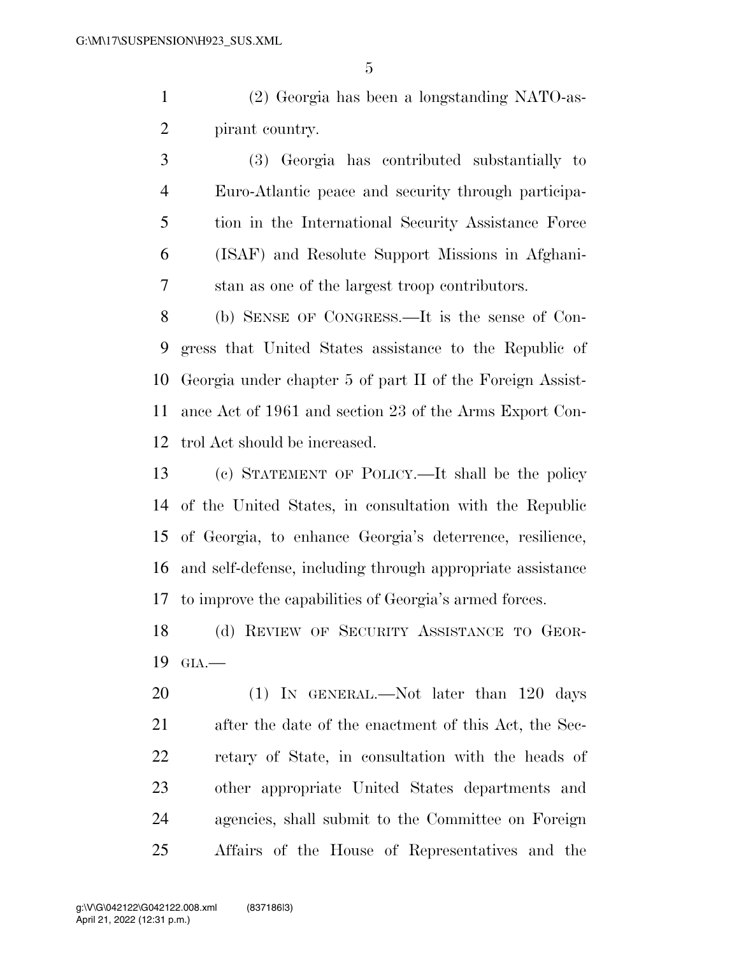(2) Georgia has been a longstanding NATO-as-pirant country.

 (3) Georgia has contributed substantially to Euro-Atlantic peace and security through participa- tion in the International Security Assistance Force (ISAF) and Resolute Support Missions in Afghani-stan as one of the largest troop contributors.

 (b) SENSE OF CONGRESS.—It is the sense of Con- gress that United States assistance to the Republic of Georgia under chapter 5 of part II of the Foreign Assist- ance Act of 1961 and section 23 of the Arms Export Con-trol Act should be increased.

 (c) STATEMENT OF POLICY.—It shall be the policy of the United States, in consultation with the Republic of Georgia, to enhance Georgia's deterrence, resilience, and self-defense, including through appropriate assistance to improve the capabilities of Georgia's armed forces.

 (d) REVIEW OF SECURITY ASSISTANCE TO GEOR-GIA.—

20 (1) IN GENERAL.—Not later than 120 days after the date of the enactment of this Act, the Sec- retary of State, in consultation with the heads of other appropriate United States departments and agencies, shall submit to the Committee on Foreign Affairs of the House of Representatives and the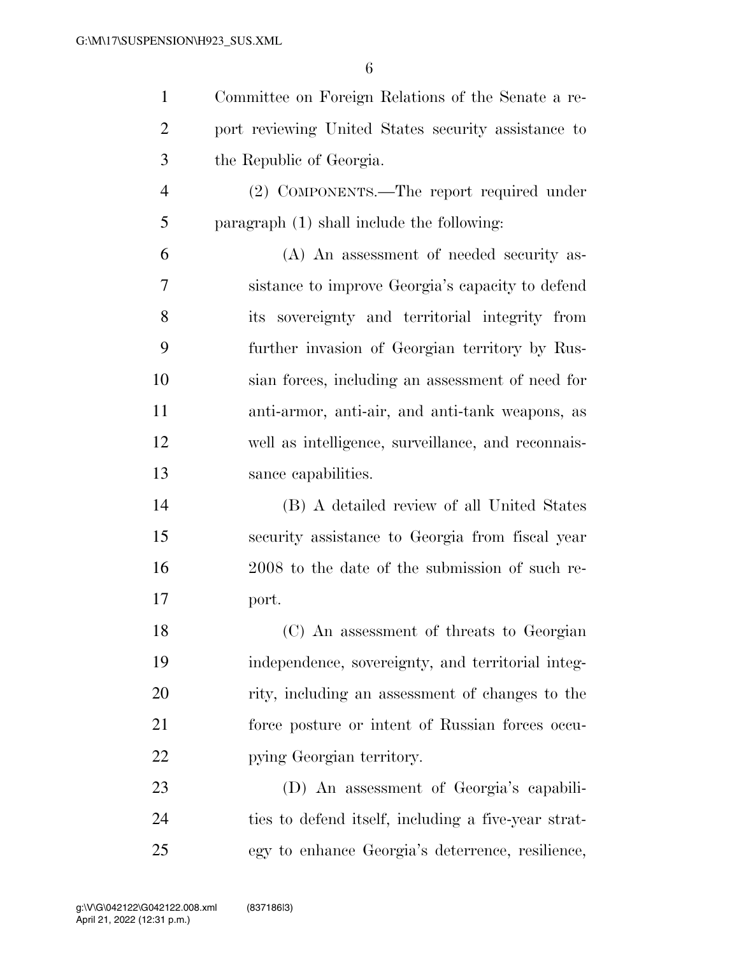| $\mathbf{1}$   | Committee on Foreign Relations of the Senate a re-  |
|----------------|-----------------------------------------------------|
| $\overline{2}$ | port reviewing United States security assistance to |
| 3              | the Republic of Georgia.                            |
| $\overline{4}$ | (2) COMPONENTS.—The report required under           |
| 5              | paragraph $(1)$ shall include the following:        |
| 6              | (A) An assessment of needed security as-            |
| 7              | sistance to improve Georgia's capacity to defend    |
| 8              | its sovereignty and territorial integrity from      |
| 9              | further invasion of Georgian territory by Rus-      |
| 10             | sian forces, including an assessment of need for    |
| 11             | anti-armor, anti-air, and anti-tank weapons, as     |
| 12             | well as intelligence, surveillance, and reconnais-  |
| 13             | sance capabilities.                                 |
| 14             | (B) A detailed review of all United States          |
| 15             | security assistance to Georgia from fiscal year     |
| 16             | 2008 to the date of the submission of such re-      |
| 17             | port.                                               |
| 18             | (C) An assessment of threats to Georgian            |
| 19             | independence, sovereignty, and territorial integ-   |
| 20             | rity, including an assessment of changes to the     |
| 21             | force posture or intent of Russian forces occu-     |
| 22             | pying Georgian territory.                           |
| 23             | (D) An assessment of Georgia's capabili-            |
| 24             | ties to defend itself, including a five-year strat- |

egy to enhance Georgia's deterrence, resilience,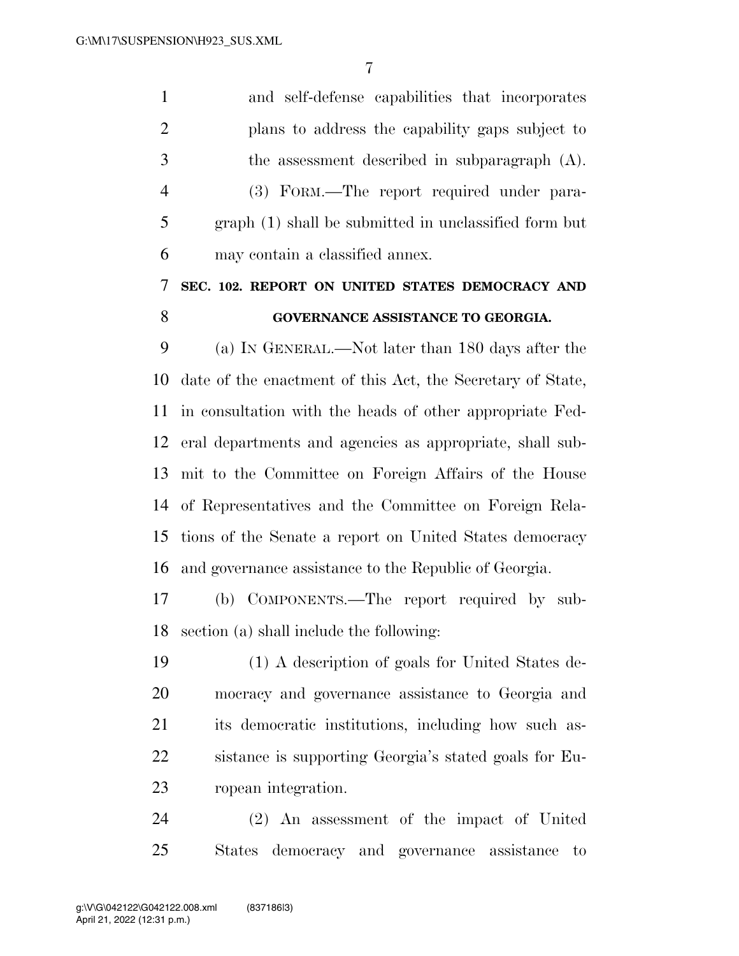and self-defense capabilities that incorporates plans to address the capability gaps subject to the assessment described in subparagraph (A). (3) FORM.—The report required under para- graph (1) shall be submitted in unclassified form but may contain a classified annex. **SEC. 102. REPORT ON UNITED STATES DEMOCRACY AND** 

### **GOVERNANCE ASSISTANCE TO GEORGIA.**

 (a) IN GENERAL.—Not later than 180 days after the date of the enactment of this Act, the Secretary of State, in consultation with the heads of other appropriate Fed- eral departments and agencies as appropriate, shall sub- mit to the Committee on Foreign Affairs of the House of Representatives and the Committee on Foreign Rela- tions of the Senate a report on United States democracy and governance assistance to the Republic of Georgia.

 (b) COMPONENTS.—The report required by sub-section (a) shall include the following:

 (1) A description of goals for United States de- mocracy and governance assistance to Georgia and its democratic institutions, including how such as- sistance is supporting Georgia's stated goals for Eu-ropean integration.

 (2) An assessment of the impact of United States democracy and governance assistance to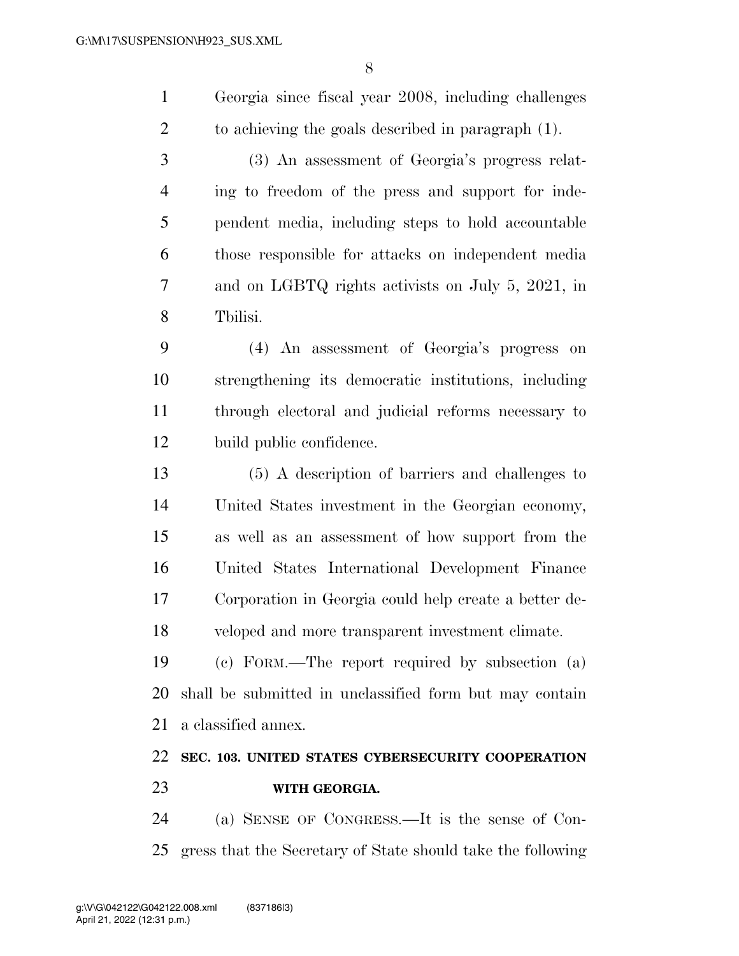|               | Georgia since fiscal year 2008, including challenges |
|---------------|------------------------------------------------------|
|               | to achieving the goals described in paragraph (1).   |
| $\mathcal{R}$ | (3) An assessment of Georgia's progress relat-       |

 ing to freedom of the press and support for inde- pendent media, including steps to hold accountable those responsible for attacks on independent media and on LGBTQ rights activists on July 5, 2021, in Tbilisi.

 (4) An assessment of Georgia's progress on strengthening its democratic institutions, including through electoral and judicial reforms necessary to build public confidence.

 (5) A description of barriers and challenges to United States investment in the Georgian economy, as well as an assessment of how support from the United States International Development Finance Corporation in Georgia could help create a better de-veloped and more transparent investment climate.

 (c) FORM.—The report required by subsection (a) shall be submitted in unclassified form but may contain a classified annex.

# **SEC. 103. UNITED STATES CYBERSECURITY COOPERATION WITH GEORGIA.**

 (a) SENSE OF CONGRESS.—It is the sense of Con-gress that the Secretary of State should take the following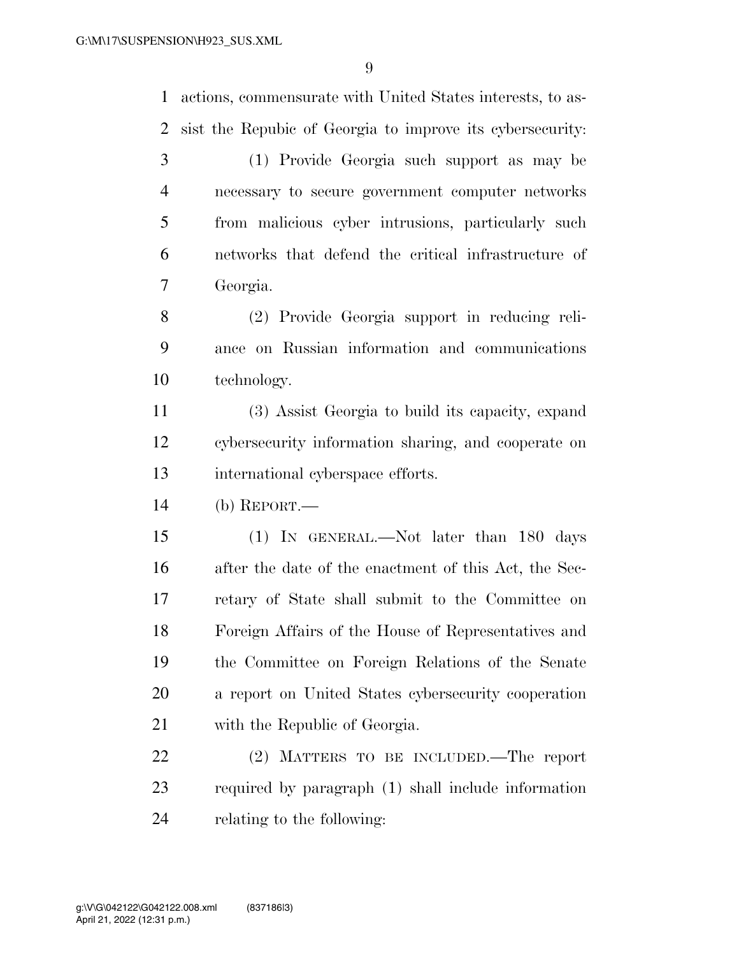actions, commensurate with United States interests, to as-sist the Repubic of Georgia to improve its cybersecurity:

 (1) Provide Georgia such support as may be necessary to secure government computer networks from malicious cyber intrusions, particularly such networks that defend the critical infrastructure of Georgia.

 (2) Provide Georgia support in reducing reli- ance on Russian information and communications technology.

 (3) Assist Georgia to build its capacity, expand cybersecurity information sharing, and cooperate on international cyberspace efforts.

(b) REPORT.—

 (1) IN GENERAL.—Not later than 180 days after the date of the enactment of this Act, the Sec- retary of State shall submit to the Committee on Foreign Affairs of the House of Representatives and the Committee on Foreign Relations of the Senate a report on United States cybersecurity cooperation with the Republic of Georgia.

 (2) MATTERS TO BE INCLUDED.—The report required by paragraph (1) shall include information relating to the following: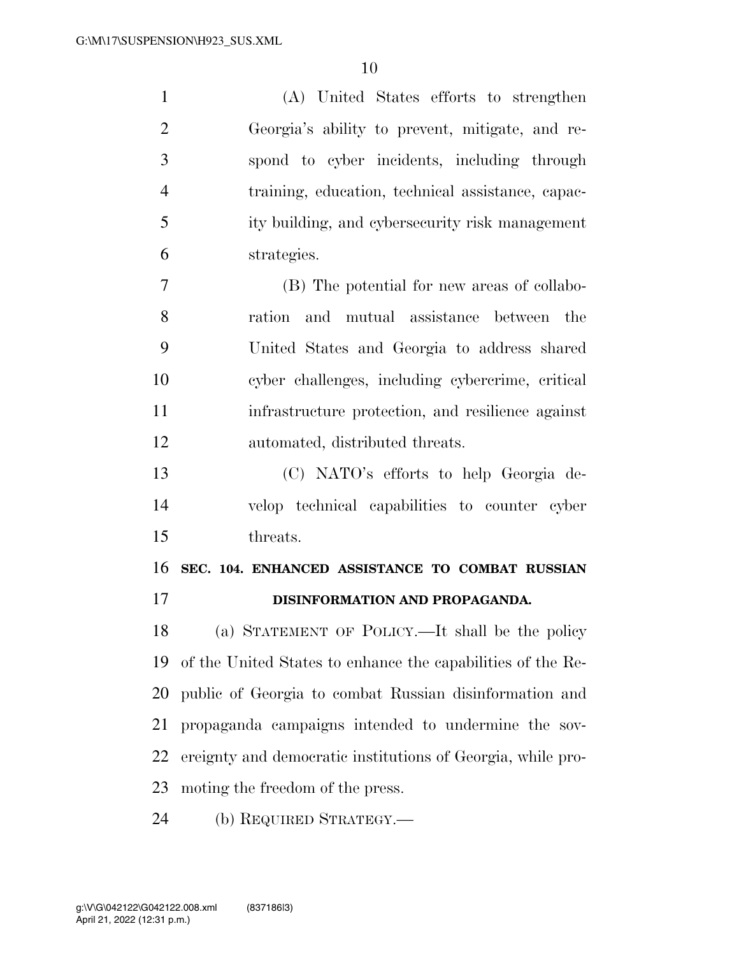| $\mathbf{1}$   | (A) United States efforts to strengthen                     |
|----------------|-------------------------------------------------------------|
| $\overline{2}$ | Georgia's ability to prevent, mitigate, and re-             |
| 3              | spond to cyber incidents, including through                 |
| 4              | training, education, technical assistance, capac-           |
| 5              | ity building, and cybersecurity risk management             |
| 6              | strategies.                                                 |
| $\tau$         | (B) The potential for new areas of collabo-                 |
| 8              | ration and mutual assistance between the                    |
| 9              | United States and Georgia to address shared                 |
| 10             | cyber challenges, including cybercrime, critical            |
| 11             | infrastructure protection, and resilience against           |
| 12             | automated, distributed threats.                             |
| 13             | (C) NATO's efforts to help Georgia de-                      |
| 14             | velop technical capabilities to counter cyber               |
| 15             | threats.                                                    |
| 16             | SEC. 104. ENHANCED ASSISTANCE TO COMBAT RUSSIAN             |
| 17             | DISINFORMATION AND PROPAGANDA.                              |
| 18             | (a) STATEMENT OF POLICY.—It shall be the policy             |
| 19             | of the United States to enhance the capabilities of the Re- |
| 20             | public of Georgia to combat Russian disinformation and      |
| 21             | propaganda campaigns intended to undermine the sov-         |
| 22             | ereignty and democratic institutions of Georgia, while pro- |
| 23             | moting the freedom of the press.                            |
|                |                                                             |

(b) REQUIRED STRATEGY.—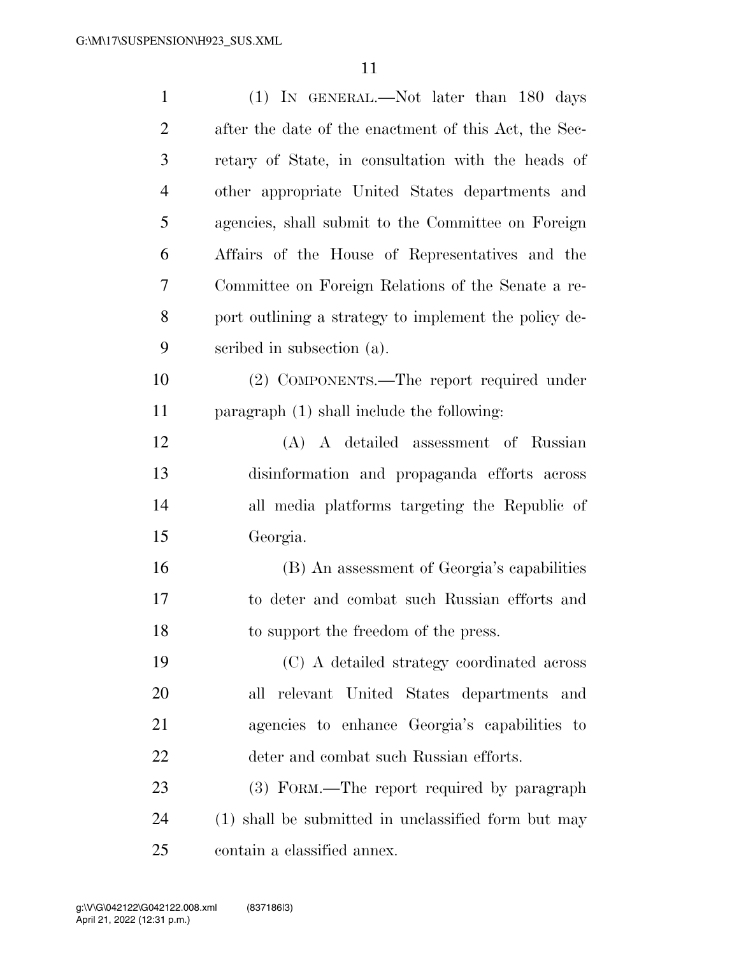| $\mathbf{1}$   | (1) IN GENERAL.—Not later than 180 days               |
|----------------|-------------------------------------------------------|
| $\overline{2}$ | after the date of the enactment of this Act, the Sec- |
| 3              | retary of State, in consultation with the heads of    |
| $\overline{4}$ | other appropriate United States departments and       |
| 5              | agencies, shall submit to the Committee on Foreign    |
| 6              | Affairs of the House of Representatives and the       |
| 7              | Committee on Foreign Relations of the Senate a re-    |
| 8              | port outlining a strategy to implement the policy de- |
| 9              | scribed in subsection (a).                            |
| 10             | (2) COMPONENTS.—The report required under             |
| 11             | paragraph (1) shall include the following:            |
| 12             | (A) A detailed assessment of Russian                  |
| 13             | disinformation and propaganda efforts across          |
| 14             | all media platforms targeting the Republic of         |
| 15             | Georgia.                                              |
| 16             | (B) An assessment of Georgia's capabilities           |
| 17             | to deter and combat such Russian efforts and          |
| 18             | to support the freedom of the press.                  |
| 19             | (C) A detailed strategy coordinated across            |
| 20             | relevant United States departments and<br>all         |
| 21             | agencies to enhance Georgia's capabilities to         |
| 22             | deter and combat such Russian efforts.                |
| 23             | (3) FORM.—The report required by paragraph            |
| 24             | (1) shall be submitted in unclassified form but may   |
| 25             | contain a classified annex.                           |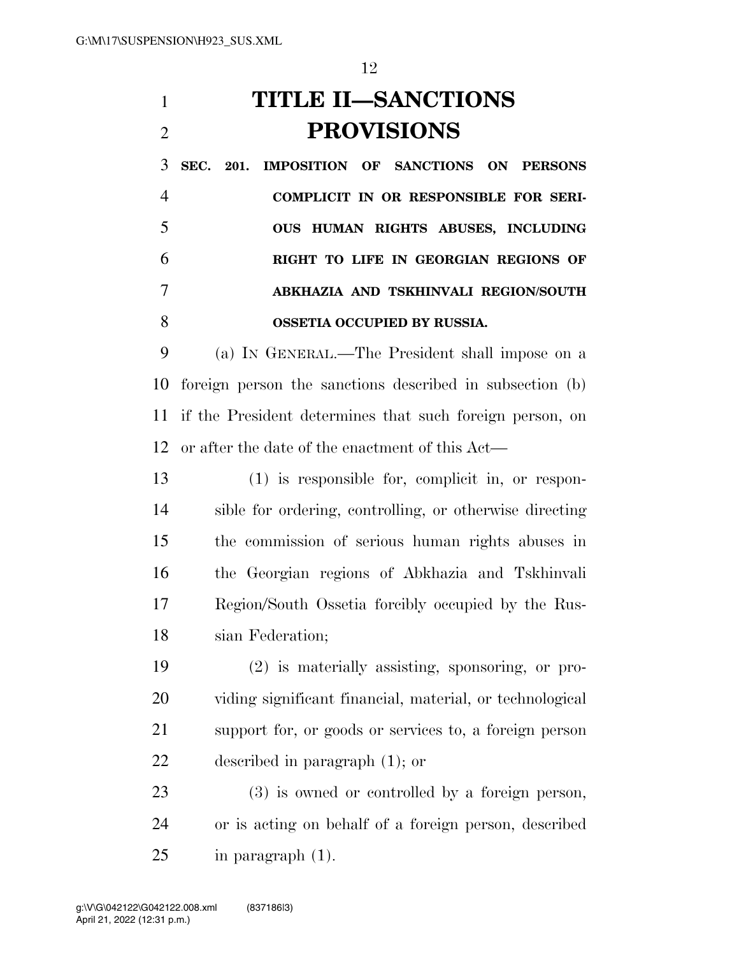# **TITLE II—SANCTIONS PROVISIONS**

 **SEC. 201. IMPOSITION OF SANCTIONS ON PERSONS COMPLICIT IN OR RESPONSIBLE FOR SERI- OUS HUMAN RIGHTS ABUSES, INCLUDING RIGHT TO LIFE IN GEORGIAN REGIONS OF ABKHAZIA AND TSKHINVALI REGION/SOUTH OSSETIA OCCUPIED BY RUSSIA.** 

 (a) IN GENERAL.—The President shall impose on a foreign person the sanctions described in subsection (b) if the President determines that such foreign person, on or after the date of the enactment of this Act—

 (1) is responsible for, complicit in, or respon- sible for ordering, controlling, or otherwise directing the commission of serious human rights abuses in the Georgian regions of Abkhazia and Tskhinvali Region/South Ossetia forcibly occupied by the Rus-sian Federation;

 (2) is materially assisting, sponsoring, or pro- viding significant financial, material, or technological support for, or goods or services to, a foreign person described in paragraph (1); or

 (3) is owned or controlled by a foreign person, or is acting on behalf of a foreign person, described in paragraph (1).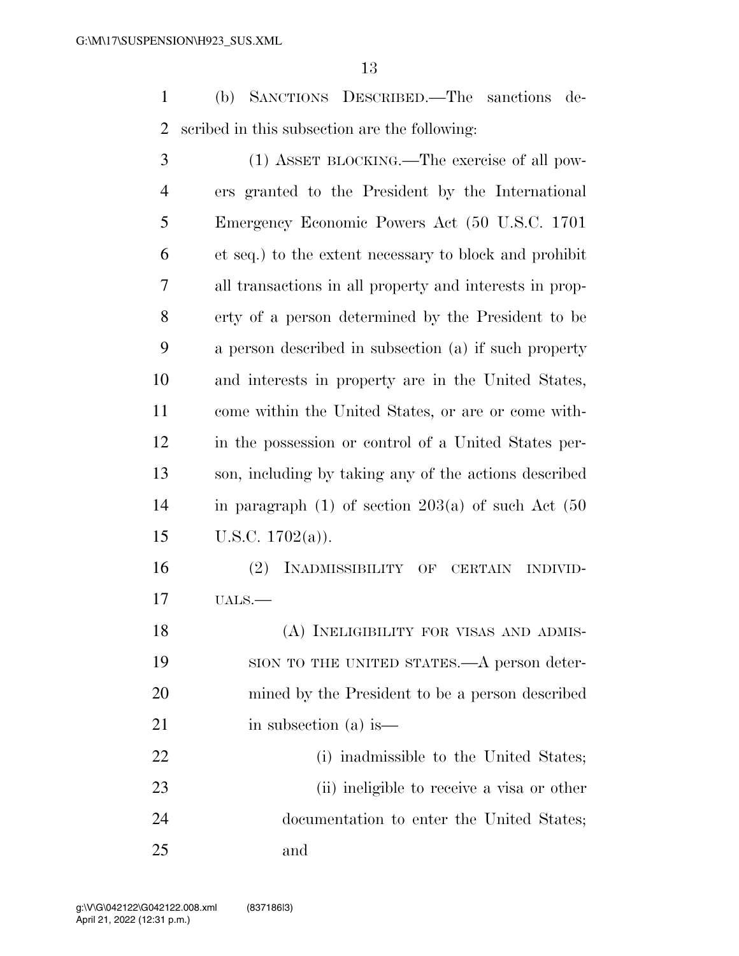(b) SANCTIONS DESCRIBED.—The sanctions de-scribed in this subsection are the following:

| 3              | (1) ASSET BLOCKING.—The exercise of all pow-              |
|----------------|-----------------------------------------------------------|
| $\overline{4}$ | ers granted to the President by the International         |
| 5              | Emergency Economic Powers Act (50 U.S.C. 1701)            |
| 6              | et seq.) to the extent necessary to block and prohibit    |
| $\overline{7}$ | all transactions in all property and interests in prop-   |
| 8              | erty of a person determined by the President to be        |
| 9              | a person described in subsection (a) if such property     |
| 10             | and interests in property are in the United States,       |
| 11             | come within the United States, or are or come with-       |
| 12             | in the possession or control of a United States per-      |
| 13             | son, including by taking any of the actions described     |
| 14             | in paragraph $(1)$ of section $203(a)$ of such Act $(50)$ |
| 15             | U.S.C. $1702(a)$ ).                                       |
| 16             | (2)<br>INADMISSIBILITY OF CERTAIN<br><b>INDIVID-</b>      |
| 17             | $UALS.$ —                                                 |
| 18             | (A) INELIGIBILITY FOR VISAS AND ADMIS-                    |
| 19             | SION TO THE UNITED STATES.—A person deter-                |
| 20             | mined by the President to be a person described           |
| 21             | in subsection (a) is—                                     |
| 22             | (i) inadmissible to the United States;                    |
| 23             | (ii) ineligible to receive a visa or other                |
| 24             | documentation to enter the United States;                 |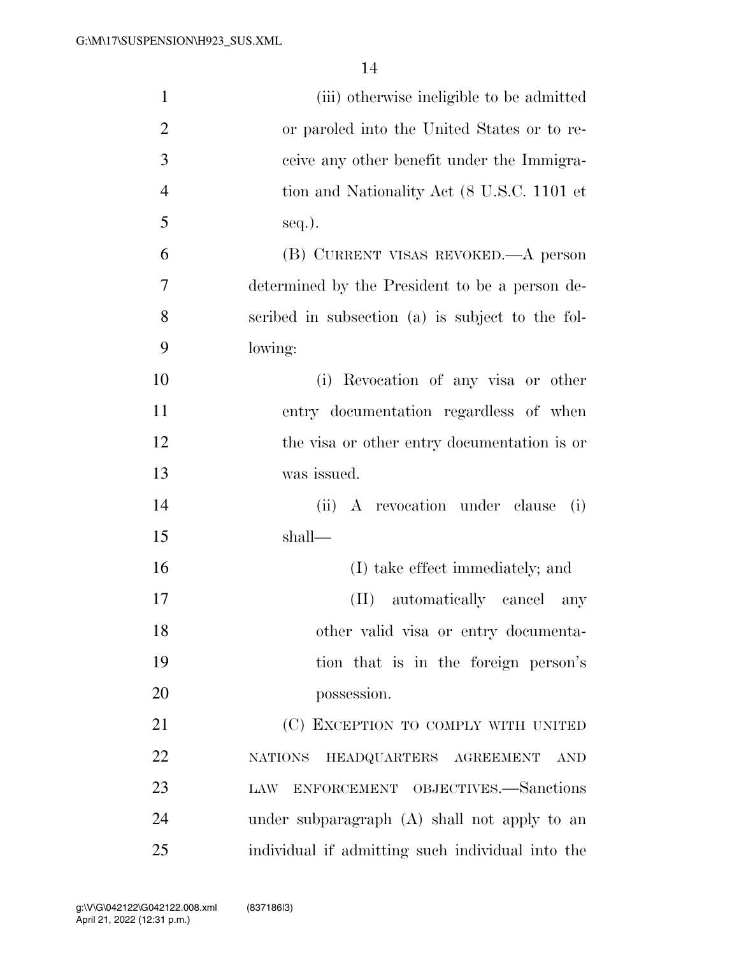| $\mathbf{1}$   | (iii) otherwise ineligible to be admitted              |
|----------------|--------------------------------------------------------|
| $\overline{2}$ | or paroled into the United States or to re-            |
| 3              | ceive any other benefit under the Immigra-             |
| $\overline{4}$ | tion and Nationality Act (8 U.S.C. 1101 et             |
| 5              | seq.).                                                 |
| 6              | (B) CURRENT VISAS REVOKED.—A person                    |
| 7              | determined by the President to be a person de-         |
| 8              | scribed in subsection (a) is subject to the fol-       |
| 9              | lowing:                                                |
| 10             | (i) Revocation of any visa or other                    |
| 11             | entry documentation regardless of when                 |
| 12             | the visa or other entry documentation is or            |
| 13             | was issued.                                            |
| 14             | A revocation under clause<br>(ii)<br>(i)               |
| 15             | shall—                                                 |
| 16             | (I) take effect immediately; and                       |
| 17             | automatically cancel<br>$(\Pi)$<br>any                 |
| 18             | other valid visa or entry documenta-                   |
| 19             | tion that is in the foreign person's                   |
| 20             | possession.                                            |
| 21             | (C) EXCEPTION TO COMPLY WITH UNITED                    |
| 22             | HEADQUARTERS AGREEMENT<br><b>NATIONS</b><br><b>AND</b> |
| 23             | ENFORCEMENT OBJECTIVES.-Sanctions<br>LAW               |
| 24             | under subparagraph (A) shall not apply to an           |
| 25             | individual if admitting such individual into the       |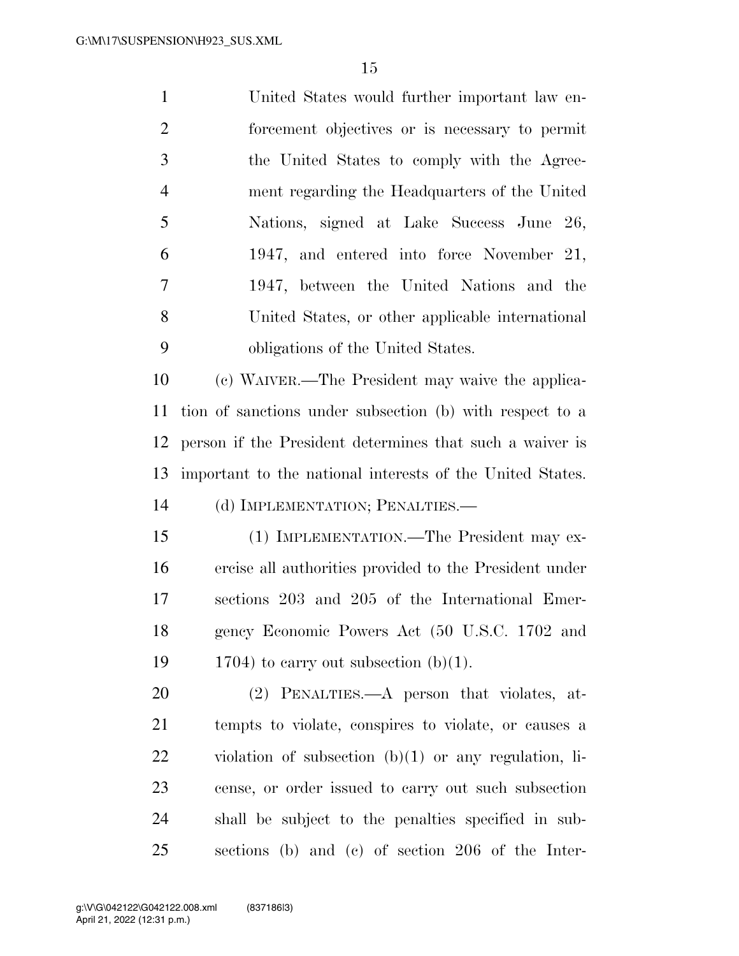| $\mathbf{1}$   | United States would further important law en-    |
|----------------|--------------------------------------------------|
| $\overline{2}$ | forcement objectives or is necessary to permit   |
| 3              | the United States to comply with the Agree-      |
| $\overline{4}$ | ment regarding the Headquarters of the United    |
| 5              | Nations, signed at Lake Success June 26,         |
| 6              | 1947, and entered into force November 21,        |
| 7              | 1947, between the United Nations and the         |
| 8              | United States, or other applicable international |
| 9              | obligations of the United States.                |
|                |                                                  |

 (c) WAIVER.—The President may waive the applica- tion of sanctions under subsection (b) with respect to a person if the President determines that such a waiver is important to the national interests of the United States. (d) IMPLEMENTATION; PENALTIES.—

 (1) IMPLEMENTATION.—The President may ex- ercise all authorities provided to the President under sections 203 and 205 of the International Emer- gency Economic Powers Act (50 U.S.C. 1702 and 19 1704) to carry out subsection  $(b)(1)$ .

 (2) PENALTIES.—A person that violates, at- tempts to violate, conspires to violate, or causes a violation of subsection (b)(1) or any regulation, li- cense, or order issued to carry out such subsection shall be subject to the penalties specified in sub-sections (b) and (c) of section 206 of the Inter